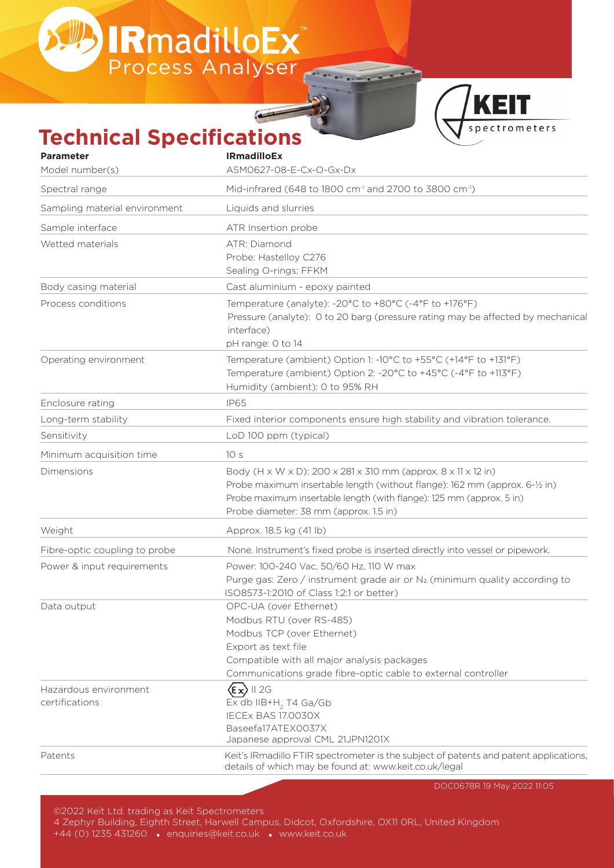BIRmadilloEx<sup>"</sup>



## **Technical Specifications**

| <b>Parameter</b>              | <b>IRmadilloEx</b>                                                                     |
|-------------------------------|----------------------------------------------------------------------------------------|
| Model number(s)               | ASM0627-08-E-Cx-O-Gx-Dx                                                                |
| Spectral range                | Mid-infrared (648 to 1800 cm <sup>-1</sup> and 2700 to 3800 cm <sup>-1</sup> )         |
| Sampling material environment | Liquids and slurries                                                                   |
| Sample interface              | ATR Insertion probe                                                                    |
| Wetted materials              | ATR: Diamond                                                                           |
|                               | Probe: Hastelloy C276                                                                  |
|                               | Sealing O-rings: FFKM                                                                  |
| Body casing material          | Cast aluminium - epoxy painted                                                         |
| Process conditions            | Temperature (analyte): -20°C to +80°C (-4°F to +176°F)                                 |
|                               | Pressure (analyte): 0 to 20 barg (pressure rating may be affected by mechanical        |
|                               | interface)                                                                             |
|                               | pH range: 0 to 14                                                                      |
| Operating environment         | Temperature (ambient) Option 1: -10°C to +55°C (+14°F to +131°F)                       |
|                               | Temperature (ambient) Option 2: -20°C to +45°C (-4°F to +113°F)                        |
|                               | Humidity (ambient): 0 to 95% RH                                                        |
| Enclosure rating              | <b>IP65</b>                                                                            |
| Long-term stability           | Fixed interior components ensure high stability and vibration tolerance.               |
| Sensitivity                   | LoD 100 ppm (typical)                                                                  |
| Minimum acquisition time      | 10 <sub>s</sub>                                                                        |
| Dimensions                    | Body (H x W x D): 200 x 281 x 310 mm (approx. 8 x 11 x 12 in)                          |
|                               | Probe maximum insertable length (without flange): 162 mm (approx. 6-1/2 in)            |
|                               | Probe maximum insertable length (with flange): 125 mm (approx. 5 in)                   |
|                               | Probe diameter: 38 mm (approx. 1.5 in)                                                 |
| Weight                        | Approx. 18.5 kg (41 lb)                                                                |
| Fibre-optic coupling to probe | None. Instrument's fixed probe is inserted directly into vessel or pipework.           |
| Power & input requirements    | Power: 100-240 Vac, 50/60 Hz, 110 W max                                                |
|                               | Purge gas: Zero / instrument grade air or N <sub>2</sub> (minimum quality according to |
|                               | ISO8573-1:2010 of Class 1:2:1 or better)                                               |
| Data output                   | OPC-UA (over Ethernet)                                                                 |
|                               | Modbus RTU (over RS-485)                                                               |
|                               | Modbus TCP (over Ethernet)                                                             |
|                               | Export as text file                                                                    |
|                               | Compatible with all major analysis packages                                            |
|                               | Communications grade fibre-optic cable to external controller                          |
| Hazardous environment         | $\langle \epsilon \times \rangle$ II 2g                                                |
| certifications                | $Ex$ db IIB+H <sub>2</sub> T4 Ga/Gb                                                    |
|                               | IECEx BAS 17.0030X<br>Baseefa17ATEX0037X                                               |
|                               | Japanese approval CML 21JPN1201X                                                       |
| Patents                       | Keit's IRmadillo FTIR spectrometer is the subject of patents and patent applications,  |
|                               | details of which may be found at: www.keit.co.uk/legal                                 |

DOC0678R 19 May 2022 11:05

©2022 Keit Ltd. trading as Keit Spectrometers

4 Zephyr Building, Eighth Street, Harwell Campus, Didcot, Oxfordshire, OX11 0RL, United Kingdom

+44 (0) 1235 431260 · enquiries@keit.co.uk · www.keit.co.uk